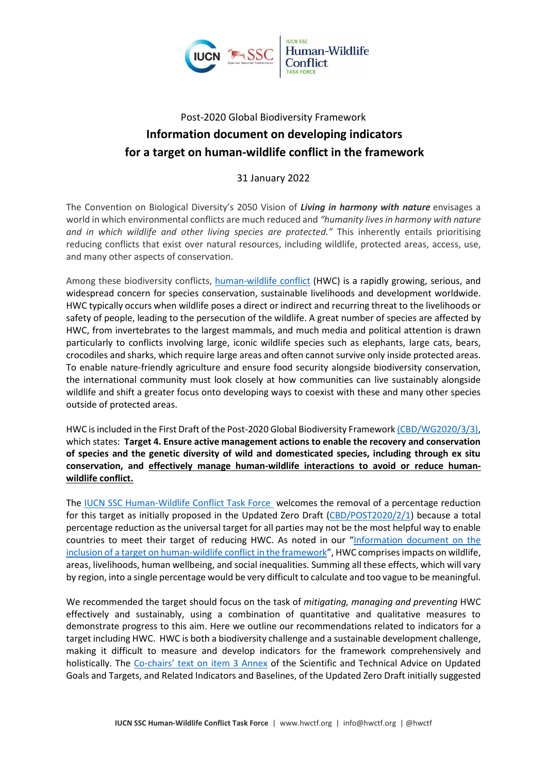

# Post-2020 Global Biodiversity Framework **Information document on developing indicators for a target on human-wildlife conflict in the framework**

31 January 2022

The Convention on Biological Diversity's 2050 Vision of *Living in harmony with nature* envisages a world in which environmental conflicts are much reduced and *"humanity lives in harmony with nature and in which wildlife and other living species are protected."* This inherently entails prioritising reducing conflicts that exist over natural resources, including wildlife, protected areas, access, use, and many other aspects of conservation.

Among these biodiversity conflicts, [human-wildlife conflict](http://www.hwctf.org/about) (HWC) is a rapidly growing, serious, and widespread concern for species conservation, sustainable livelihoods and development worldwide. HWC typically occurs when wildlife poses a direct or indirect and recurring threat to the livelihoods or safety of people, leading to the persecution of the wildlife. A great number of species are affected by HWC, from invertebrates to the largest mammals, and much media and political attention is drawn particularly to conflicts involving large, iconic wildlife species such as elephants, large cats, bears, crocodiles and sharks, which require large areas and often cannot survive only inside protected areas. To enable nature-friendly agriculture and ensure food security alongside biodiversity conservation, the international community must look closely at how communities can live sustainably alongside wildlife and shift a greater focus onto developing ways to coexist with these and many other species outside of protected areas.

HWC is included in the First Draft of the Post-2020 Global Biodiversity Framework [\(CBD/WG2020/3/3\),](https://www.cbd.int/doc/c/abb5/591f/2e46096d3f0330b08ce87a45/wg2020-03-03-en.pdf) which states: **Target 4. Ensure active management actions to enable the recovery and conservation of species and the genetic diversity of wild and domesticated species, including through ex situ conservation, and effectively manage human-wildlife interactions to avoid or reduce humanwildlife conflict.**

The **IUCN SSC Human-Wildlife Conflict Task Force** welcomes the removal of a percentage reduction for this target as initially proposed in the Updated Zero Draft [\(CBD/POST2020/2/1\)](https://www.cbd.int/doc/c/3064/749a/0f65ac7f9def86707f4eaefa/post2020-prep-02-01-en.pdf) because a total percentage reduction as the universal target for all parties may not be the most helpful way to enable countries to meet their target of reducing HWC. As noted in our "[Information document on the](https://428a9490-8cd7-406a-873f-6ada42789f4a.filesusr.com/ugd/7acc16_647ceff2283f4fd2a8c1525ac7e3a400.pdf)  inclusion of a target on [human-wildlife conflict in the framework](https://428a9490-8cd7-406a-873f-6ada42789f4a.filesusr.com/ugd/7acc16_647ceff2283f4fd2a8c1525ac7e3a400.pdf)", HWC comprises impacts on wildlife, areas, livelihoods, human wellbeing, and social inequalities. Summing all these effects, which will vary by region, into a single percentage would be very difficult to calculate and too vague to be meaningful.

We recommended the target should focus on the task of *mitigating, managing and preventing* HWC effectively and sustainably, using a combination of quantitative and qualitative measures to demonstrate progress to this aim. Here we outline our recommendations related to indicators for a target including HWC. HWC is both a biodiversity challenge and a sustainable development challenge, making it difficult to measure and develop indicators for the framework comprehensively and holistically. The Co-[chairs' text on item 3 Annex](https://www.cbd.int/doc/c/d385/aabb/5250ab2a2b231ee2b5febd4d/sbstta-24-chairstext-item03-en.pdf) of the Scientific and Technical Advice on Updated Goals and Targets, and Related Indicators and Baselines, of the Updated Zero Draft initially suggested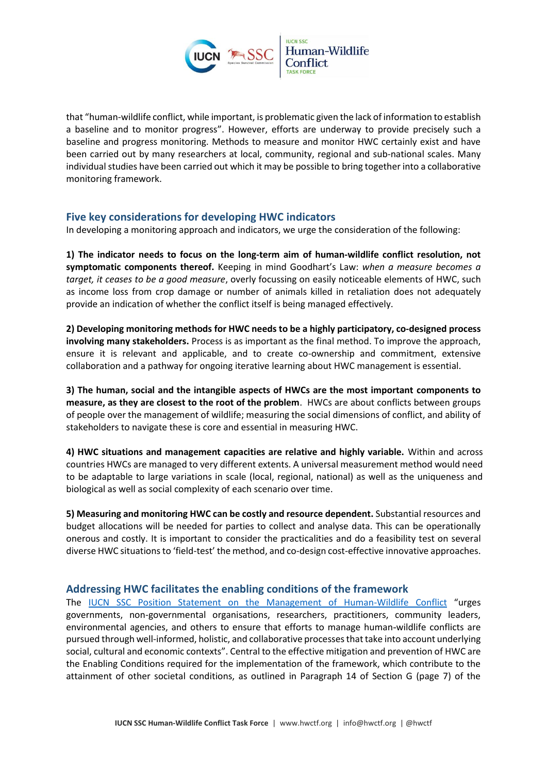

that "human-wildlife conflict, while important, is problematic given the lack of information to establish a baseline and to monitor progress". However, efforts are underway to provide precisely such a baseline and progress monitoring. Methods to measure and monitor HWC certainly exist and have been carried out by many researchers at local, community, regional and sub-national scales. Many individual studies have been carried out which it may be possible to bring together into a collaborative monitoring framework.

## **Five key considerations for developing HWC indicators**

In developing a monitoring approach and indicators, we urge the consideration of the following:

**1) The indicator needs to focus on the long-term aim of human-wildlife conflict resolution, not symptomatic components thereof.** Keeping in mind Goodhart's Law: *when a measure becomes a target, it ceases to be a good measure*, overly focussing on easily noticeable elements of HWC, such as income loss from crop damage or number of animals killed in retaliation does not adequately provide an indication of whether the conflict itself is being managed effectively.

**2) Developing monitoring methods for HWC needs to be a highly participatory, co-designed process involving many stakeholders.** Process is as important as the final method. To improve the approach, ensure it is relevant and applicable, and to create co-ownership and commitment, extensive collaboration and a pathway for ongoing iterative learning about HWC management is essential.

**3) The human, social and the intangible aspects of HWCs are the most important components to measure, as they are closest to the root of the problem**. HWCs are about conflicts between groups of people over the management of wildlife; measuring the social dimensions of conflict, and ability of stakeholders to navigate these is core and essential in measuring HWC.

**4) HWC situations and management capacities are relative and highly variable.** Within and across countries HWCs are managed to very different extents. A universal measurement method would need to be adaptable to large variations in scale (local, regional, national) as well as the uniqueness and biological as well as social complexity of each scenario over time.

**5) Measuring and monitoring HWC can be costly and resource dependent.** Substantial resources and budget allocations will be needed for parties to collect and analyse data. This can be operationally onerous and costly. It is important to consider the practicalities and do a feasibility test on several diverse HWC situations to 'field-test' the method, and co-design cost-effective innovative approaches.

## **Addressing HWC facilitates the enabling conditions of the framework**

The [IUCN SSC Position Statement on the Management of Human-Wildlife Conflict](https://www.hwctf.org/policies) "urges governments, non-governmental organisations, researchers, practitioners, community leaders, environmental agencies, and others to ensure that efforts to manage human-wildlife conflicts are pursued through well-informed, holistic, and collaborative processes that take into account underlying social, cultural and economic contexts". Central to the effective mitigation and prevention of HWC are the Enabling Conditions required for the implementation of the framework, which contribute to the attainment of other societal conditions, as outlined in Paragraph 14 of Section G (page 7) of the